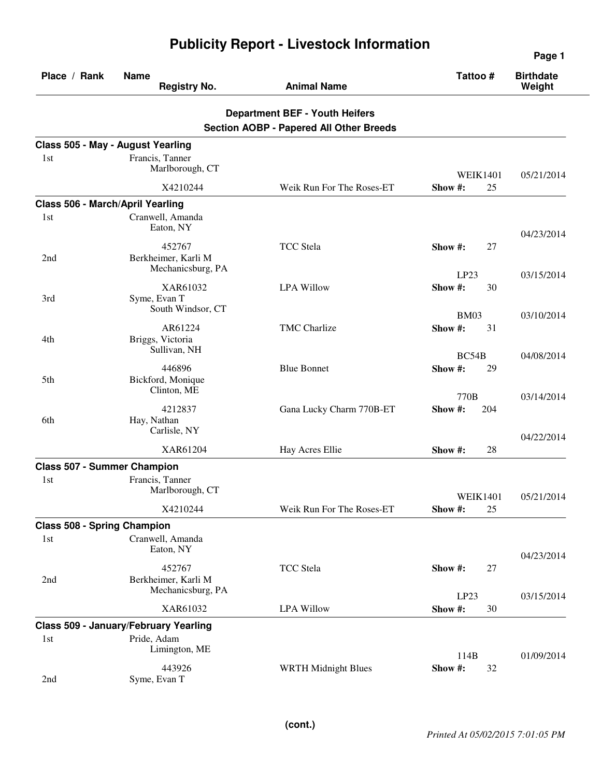| Place / Rank                       | <b>Name</b><br><b>Registry No.</b>                    | <b>Animal Name</b>                                                                      | Tattoo#                      | <b>Birthdate</b><br>Weight |
|------------------------------------|-------------------------------------------------------|-----------------------------------------------------------------------------------------|------------------------------|----------------------------|
|                                    |                                                       | <b>Department BEF - Youth Heifers</b><br><b>Section AOBP - Papered All Other Breeds</b> |                              |                            |
| Class 505 - May - August Yearling  |                                                       |                                                                                         |                              |                            |
| 1st                                | Francis, Tanner<br>Marlborough, CT                    |                                                                                         | <b>WEIK1401</b>              | 05/21/2014                 |
|                                    | X4210244                                              | Weik Run For The Roses-ET                                                               | Show #:<br>25                |                            |
| Class 506 - March/April Yearling   |                                                       |                                                                                         |                              |                            |
| 1st                                | Cranwell, Amanda<br>Eaton, NY                         |                                                                                         |                              | 04/23/2014                 |
| 2nd                                | 452767<br>Berkheimer, Karli M<br>Mechanicsburg, PA    | <b>TCC</b> Stela                                                                        | Show #:<br>27                |                            |
| 3rd                                | XAR61032<br>Syme, Evan T<br>South Windsor, CT         | <b>LPA Willow</b>                                                                       | LP23<br>Show #:<br>30        | 03/15/2014                 |
| 4th                                | AR61224<br>Briggs, Victoria<br>Sullivan, NH           | <b>TMC</b> Charlize                                                                     | <b>BM03</b><br>Show #:<br>31 | 03/10/2014                 |
| 5th                                | 446896<br>Bickford, Monique                           | <b>Blue Bonnet</b>                                                                      | BC54B<br>Show #:<br>29       | 04/08/2014                 |
| 6th                                | Clinton, ME<br>4212837<br>Hay, Nathan<br>Carlisle, NY | Gana Lucky Charm 770B-ET                                                                | 770B<br>Show #:<br>204       | 03/14/2014<br>04/22/2014   |
|                                    | XAR61204                                              | Hay Acres Ellie                                                                         | Show #:<br>28                |                            |
| <b>Class 507 - Summer Champion</b> |                                                       |                                                                                         |                              |                            |
| 1st                                | Francis, Tanner<br>Marlborough, CT                    |                                                                                         | <b>WEIK1401</b>              | 05/21/2014                 |
|                                    | X4210244                                              | Weik Run For The Roses-ET                                                               | Show #:<br>25                |                            |
| <b>Class 508 - Spring Champion</b> |                                                       |                                                                                         |                              |                            |
| 1st                                | Cranwell, Amanda<br>Eaton, NY                         |                                                                                         |                              | 04/23/2014                 |
| 2nd                                | 452767<br>Berkheimer, Karli M<br>Mechanicsburg, PA    | <b>TCC</b> Stela                                                                        | Show #:<br>27<br>LP23        | 03/15/2014                 |
|                                    | XAR61032                                              | <b>LPA Willow</b>                                                                       | Show #:<br>30                |                            |
|                                    | Class 509 - January/February Yearling                 |                                                                                         |                              |                            |
| 1st                                | Pride, Adam<br>Limington, ME                          |                                                                                         | 114B                         | 01/09/2014                 |
| 2nd                                | 443926<br>Syme, Evan T                                | <b>WRTH Midnight Blues</b>                                                              | Show #:<br>32                |                            |

## **Publicity Report - Livestock Information**

**Page 1**